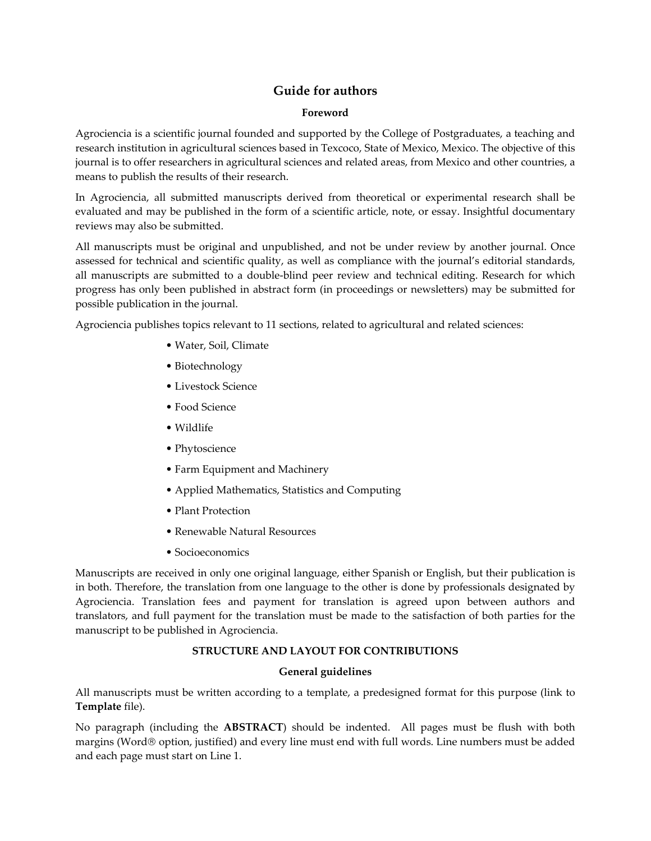# **Guide for authors**

### **Foreword**

Agrociencia is a scientific journal founded and supported by the College of Postgraduates, a teaching and research institution in agricultural sciences based in Texcoco, State of Mexico, Mexico. The objective of this journal is to offer researchers in agricultural sciences and related areas, from Mexico and other countries, a means to publish the results of their research.

In Agrociencia, all submitted manuscripts derived from theoretical or experimental research shall be evaluated and may be published in the form of a scientific article, note, or essay. Insightful documentary reviews may also be submitted.

All manuscripts must be original and unpublished, and not be under review by another journal. Once assessed for technical and scientific quality, as well as compliance with the journal's editorial standards, all manuscripts are submitted to a double-blind peer review and technical editing. Research for which progress has only been published in abstract form (in proceedings or newsletters) may be submitted for possible publication in the journal.

Agrociencia publishes topics relevant to 11 sections, related to agricultural and related sciences:

- Water, Soil, Climate
- Biotechnology
- Livestock Science
- Food Science
- Wildlife
- Phytoscience
- Farm Equipment and Machinery
- Applied Mathematics, Statistics and Computing
- Plant Protection
- Renewable Natural Resources
- Socioeconomics

Manuscripts are received in only one original language, either Spanish or English, but their publication is in both. Therefore, the translation from one language to the other is done by professionals designated by Agrociencia. Translation fees and payment for translation is agreed upon between authors and translators, and full payment for the translation must be made to the satisfaction of both parties for the manuscript to be published in Agrociencia.

# **STRUCTURE AND LAYOUT FOR CONTRIBUTIONS**

# **General guidelines**

All manuscripts must be written according to a template, a predesigned format for this purpose (link to **Template** file).

No paragraph (including the **ABSTRACT**) should be indented. All pages must be flush with both margins (Word® option, justified) and every line must end with full words. Line numbers must be added and each page must start on Line 1.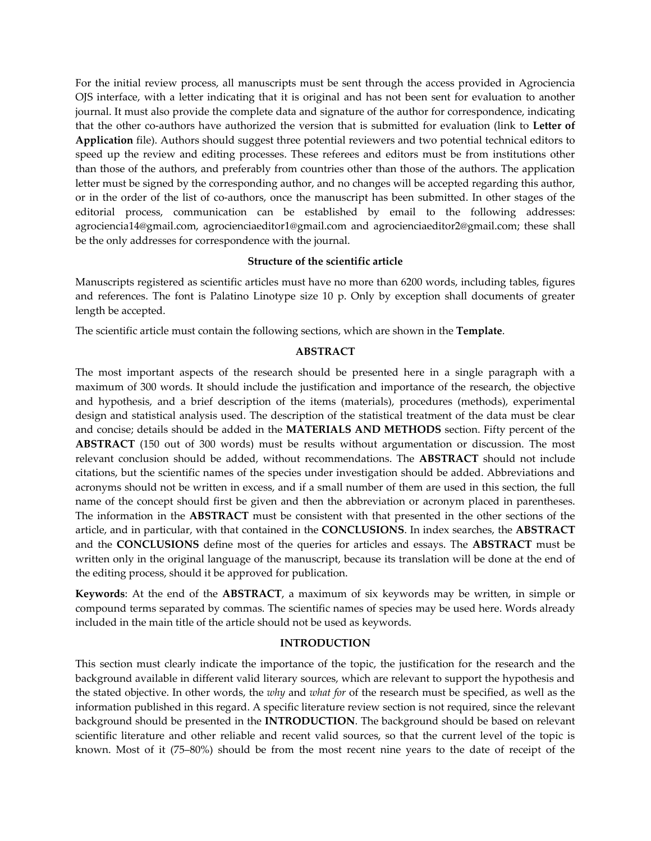For the initial review process, all manuscripts must be sent through the access provided in Agrociencia OJS interface, with a letter indicating that it is original and has not been sent for evaluation to another journal. It must also provide the complete data and signature of the author for correspondence, indicating that the other co-authors have authorized the version that is submitted for evaluation (link to **Letter of Application** file). Authors should suggest three potential reviewers and two potential technical editors to speed up the review and editing processes. These referees and editors must be from institutions other than those of the authors, and preferably from countries other than those of the authors. The application letter must be signed by the corresponding author, and no changes will be accepted regarding this author, or in the order of the list of co-authors, once the manuscript has been submitted. In other stages of the editorial process, communication can be established by email to the following addresses: agrociencia14@gmail.com, agrocienciaeditor1@gmail.com and agrocienciaeditor2@gmail.com; these shall be the only addresses for correspondence with the journal.

### **Structure of the scientific article**

Manuscripts registered as scientific articles must have no more than 6200 words, including tables, figures and references. The font is Palatino Linotype size 10 p. Only by exception shall documents of greater length be accepted.

The scientific article must contain the following sections, which are shown in the **Template**.

### **ABSTRACT**

The most important aspects of the research should be presented here in a single paragraph with a maximum of 300 words. It should include the justification and importance of the research, the objective and hypothesis, and a brief description of the items (materials), procedures (methods), experimental design and statistical analysis used. The description of the statistical treatment of the data must be clear and concise; details should be added in the **MATERIALS AND METHODS** section. Fifty percent of the **ABSTRACT** (150 out of 300 words) must be results without argumentation or discussion. The most relevant conclusion should be added, without recommendations. The **ABSTRACT** should not include citations, but the scientific names of the species under investigation should be added. Abbreviations and acronyms should not be written in excess, and if a small number of them are used in this section, the full name of the concept should first be given and then the abbreviation or acronym placed in parentheses. The information in the **ABSTRACT** must be consistent with that presented in the other sections of the article, and in particular, with that contained in the **CONCLUSIONS**. In index searches, the **ABSTRACT** and the **CONCLUSIONS** define most of the queries for articles and essays. The **ABSTRACT** must be written only in the original language of the manuscript, because its translation will be done at the end of the editing process, should it be approved for publication.

**Keywords**: At the end of the **ABSTRACT**, a maximum of six keywords may be written, in simple or compound terms separated by commas. The scientific names of species may be used here. Words already included in the main title of the article should not be used as keywords.

### **INTRODUCTION**

This section must clearly indicate the importance of the topic, the justification for the research and the background available in different valid literary sources, which are relevant to support the hypothesis and the stated objective. In other words, the *why* and *what for* of the research must be specified, as well as the information published in this regard. A specific literature review section is not required, since the relevant background should be presented in the **INTRODUCTION**. The background should be based on relevant scientific literature and other reliable and recent valid sources, so that the current level of the topic is known. Most of it (75–80%) should be from the most recent nine years to the date of receipt of the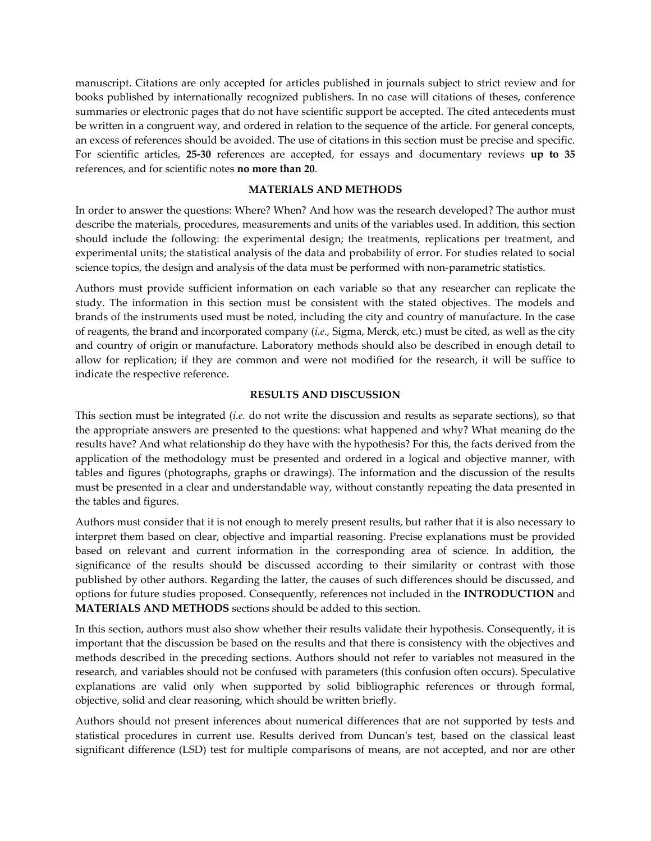manuscript. Citations are only accepted for articles published in journals subject to strict review and for books published by internationally recognized publishers. In no case will citations of theses, conference summaries or electronic pages that do not have scientific support be accepted. The cited antecedents must be written in a congruent way, and ordered in relation to the sequence of the article. For general concepts, an excess of references should be avoided. The use of citations in this section must be precise and specific. For scientific articles, **25-30** references are accepted, for essays and documentary reviews **up to 35** references, and for scientific notes **no more than 20**.

#### **MATERIALS AND METHODS**

In order to answer the questions: Where? When? And how was the research developed? The author must describe the materials, procedures, measurements and units of the variables used. In addition, this section should include the following: the experimental design; the treatments, replications per treatment, and experimental units; the statistical analysis of the data and probability of error. For studies related to social science topics, the design and analysis of the data must be performed with non-parametric statistics.

Authors must provide sufficient information on each variable so that any researcher can replicate the study. The information in this section must be consistent with the stated objectives. The models and brands of the instruments used must be noted, including the city and country of manufacture. In the case of reagents, the brand and incorporated company (*i.e.,* Sigma, Merck, etc.) must be cited, as well as the city and country of origin or manufacture. Laboratory methods should also be described in enough detail to allow for replication; if they are common and were not modified for the research, it will be suffice to indicate the respective reference.

#### **RESULTS AND DISCUSSION**

This section must be integrated (*i.e.* do not write the discussion and results as separate sections), so that the appropriate answers are presented to the questions: what happened and why? What meaning do the results have? And what relationship do they have with the hypothesis? For this, the facts derived from the application of the methodology must be presented and ordered in a logical and objective manner, with tables and figures (photographs, graphs or drawings). The information and the discussion of the results must be presented in a clear and understandable way, without constantly repeating the data presented in the tables and figures.

Authors must consider that it is not enough to merely present results, but rather that it is also necessary to interpret them based on clear, objective and impartial reasoning. Precise explanations must be provided based on relevant and current information in the corresponding area of science. In addition, the significance of the results should be discussed according to their similarity or contrast with those published by other authors. Regarding the latter, the causes of such differences should be discussed, and options for future studies proposed. Consequently, references not included in the **INTRODUCTION** and **MATERIALS AND METHODS** sections should be added to this section.

In this section, authors must also show whether their results validate their hypothesis. Consequently, it is important that the discussion be based on the results and that there is consistency with the objectives and methods described in the preceding sections. Authors should not refer to variables not measured in the research, and variables should not be confused with parameters (this confusion often occurs). Speculative explanations are valid only when supported by solid bibliographic references or through formal, objective, solid and clear reasoning, which should be written briefly.

Authors should not present inferences about numerical differences that are not supported by tests and statistical procedures in current use. Results derived from Duncan's test, based on the classical least significant difference (LSD) test for multiple comparisons of means, are not accepted, and nor are other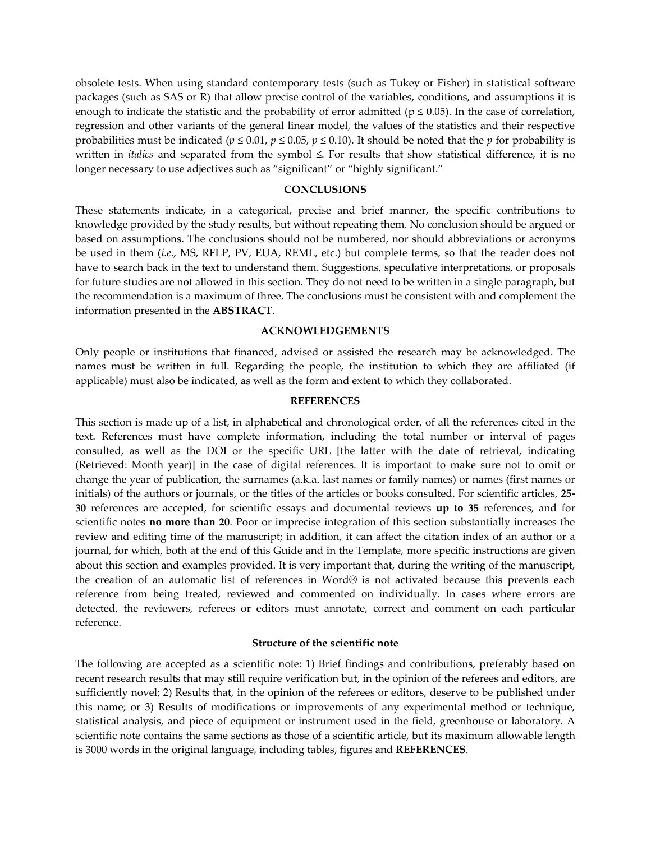obsolete tests. When using standard contemporary tests (such as Tukey or Fisher) in statistical software packages (such as SAS or R) that allow precise control of the variables, conditions, and assumptions it is enough to indicate the statistic and the probability of error admitted ( $p \le 0.05$ ). In the case of correlation, regression and other variants of the general linear model, the values of the statistics and their respective probabilities must be indicated ( $p \le 0.01$ ,  $p \le 0.05$ ,  $p \le 0.10$ ). It should be noted that the  $p$  for probability is written in *italics* and separated from the symbol ≤. For results that show statistical difference, it is no longer necessary to use adjectives such as "significant" or "highly significant."

#### **CONCLUSIONS**

These statements indicate, in a categorical, precise and brief manner, the specific contributions to knowledge provided by the study results, but without repeating them. No conclusion should be argued or based on assumptions. The conclusions should not be numbered, nor should abbreviations or acronyms be used in them (*i.e*., MS, RFLP, PV, EUA, REML, etc.) but complete terms, so that the reader does not have to search back in the text to understand them. Suggestions, speculative interpretations, or proposals for future studies are not allowed in this section. They do not need to be written in a single paragraph, but the recommendation is a maximum of three. The conclusions must be consistent with and complement the information presented in the **ABSTRACT**.

#### **ACKNOWLEDGEMENTS**

Only people or institutions that financed, advised or assisted the research may be acknowledged. The names must be written in full. Regarding the people, the institution to which they are affiliated (if applicable) must also be indicated, as well as the form and extent to which they collaborated.

#### **REFERENCES**

This section is made up of a list, in alphabetical and chronological order, of all the references cited in the text. References must have complete information, including the total number or interval of pages consulted, as well as the DOI or the specific URL [the latter with the date of retrieval, indicating (Retrieved: Month year)] in the case of digital references. It is important to make sure not to omit or change the year of publication, the surnames (a.k.a. last names or family names) or names (first names or initials) of the authors or journals, or the titles of the articles or books consulted. For scientific articles, **25- 30** references are accepted, for scientific essays and documental reviews **up to 35** references, and for scientific notes **no more than 20**. Poor or imprecise integration of this section substantially increases the review and editing time of the manuscript; in addition, it can affect the citation index of an author or a journal, for which, both at the end of this Guide and in the Template, more specific instructions are given about this section and examples provided. It is very important that, during the writing of the manuscript, the creation of an automatic list of references in Word® is not activated because this prevents each reference from being treated, reviewed and commented on individually. In cases where errors are detected, the reviewers, referees or editors must annotate, correct and comment on each particular reference.

### **Structure of the scientific note**

The following are accepted as a scientific note: 1) Brief findings and contributions, preferably based on recent research results that may still require verification but, in the opinion of the referees and editors, are sufficiently novel; 2) Results that, in the opinion of the referees or editors, deserve to be published under this name; or 3) Results of modifications or improvements of any experimental method or technique, statistical analysis, and piece of equipment or instrument used in the field, greenhouse or laboratory. A scientific note contains the same sections as those of a scientific article, but its maximum allowable length is 3000 words in the original language, including tables, figures and **REFERENCES**.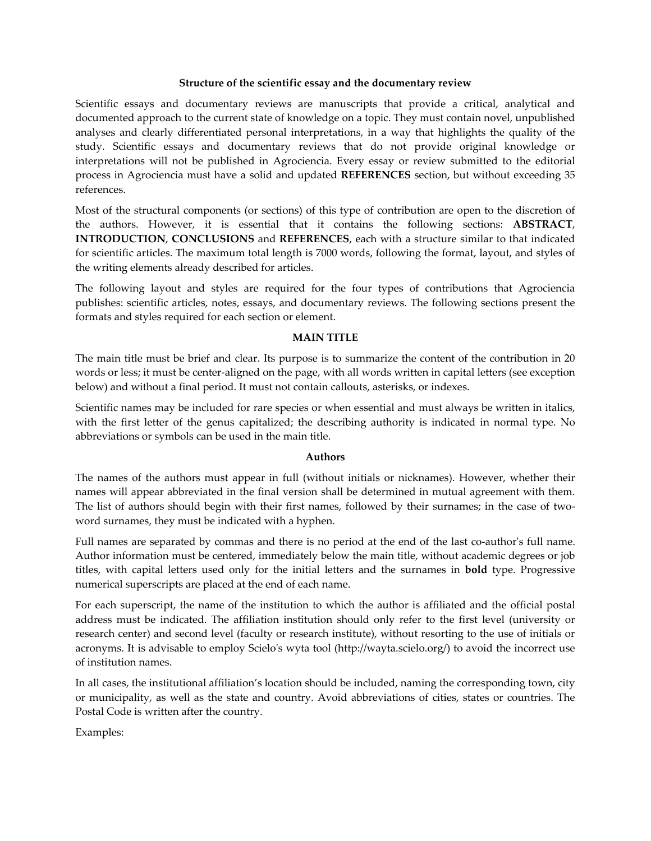### **Structure of the scientific essay and the documentary review**

Scientific essays and documentary reviews are manuscripts that provide a critical, analytical and documented approach to the current state of knowledge on a topic. They must contain novel, unpublished analyses and clearly differentiated personal interpretations, in a way that highlights the quality of the study. Scientific essays and documentary reviews that do not provide original knowledge or interpretations will not be published in Agrociencia. Every essay or review submitted to the editorial process in Agrociencia must have a solid and updated **REFERENCES** section, but without exceeding 35 references.

Most of the structural components (or sections) of this type of contribution are open to the discretion of the authors. However, it is essential that it contains the following sections: **ABSTRACT**, **INTRODUCTION**, **CONCLUSIONS** and **REFERENCES**, each with a structure similar to that indicated for scientific articles. The maximum total length is 7000 words, following the format, layout, and styles of the writing elements already described for articles.

The following layout and styles are required for the four types of contributions that Agrociencia publishes: scientific articles, notes, essays, and documentary reviews. The following sections present the formats and styles required for each section or element.

#### **MAIN TITLE**

The main title must be brief and clear. Its purpose is to summarize the content of the contribution in 20 words or less; it must be center-aligned on the page, with all words written in capital letters (see exception below) and without a final period. It must not contain callouts, asterisks, or indexes.

Scientific names may be included for rare species or when essential and must always be written in italics, with the first letter of the genus capitalized; the describing authority is indicated in normal type. No abbreviations or symbols can be used in the main title.

#### **Authors**

The names of the authors must appear in full (without initials or nicknames). However, whether their names will appear abbreviated in the final version shall be determined in mutual agreement with them. The list of authors should begin with their first names, followed by their surnames; in the case of twoword surnames, they must be indicated with a hyphen.

Full names are separated by commas and there is no period at the end of the last co-author's full name. Author information must be centered, immediately below the main title, without academic degrees or job titles, with capital letters used only for the initial letters and the surnames in **bold** type. Progressive numerical superscripts are placed at the end of each name.

For each superscript, the name of the institution to which the author is affiliated and the official postal address must be indicated. The affiliation institution should only refer to the first level (university or research center) and second level (faculty or research institute), without resorting to the use of initials or acronyms. It is advisable to employ Scielo's wyta tool (http://wayta.scielo.org/) to avoid the incorrect use of institution names.

In all cases, the institutional affiliation's location should be included, naming the corresponding town, city or municipality, as well as the state and country. Avoid abbreviations of cities, states or countries. The Postal Code is written after the country.

Examples: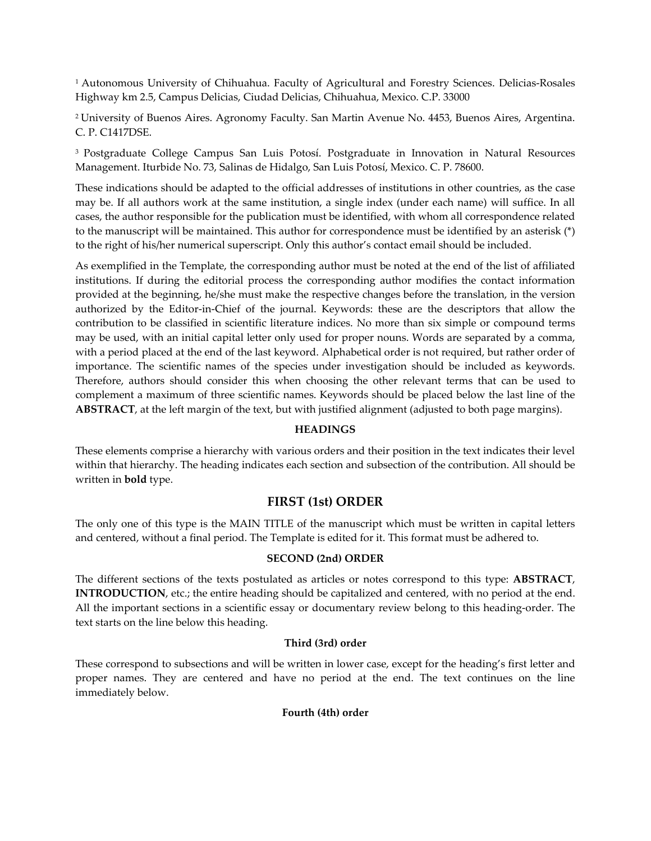<sup>1</sup> Autonomous University of Chihuahua. Faculty of Agricultural and Forestry Sciences. Delicias-Rosales Highway km 2.5, Campus Delicias, Ciudad Delicias, Chihuahua, Mexico. C.P. 33000

<sup>2</sup>University of Buenos Aires. Agronomy Faculty. San Martin Avenue No. 4453, Buenos Aires, Argentina. C. P. C1417DSE.

<sup>3</sup> Postgraduate College Campus San Luis Potosí. Postgraduate in Innovation in Natural Resources Management. Iturbide No. 73, Salinas de Hidalgo, San Luis Potosí, Mexico. C. P. 78600.

These indications should be adapted to the official addresses of institutions in other countries, as the case may be. If all authors work at the same institution, a single index (under each name) will suffice. In all cases, the author responsible for the publication must be identified, with whom all correspondence related to the manuscript will be maintained. This author for correspondence must be identified by an asterisk (\*) to the right of his/her numerical superscript. Only this author's contact email should be included.

As exemplified in the Template, the corresponding author must be noted at the end of the list of affiliated institutions. If during the editorial process the corresponding author modifies the contact information provided at the beginning, he/she must make the respective changes before the translation, in the version authorized by the Editor-in-Chief of the journal. Keywords: these are the descriptors that allow the contribution to be classified in scientific literature indices. No more than six simple or compound terms may be used, with an initial capital letter only used for proper nouns. Words are separated by a comma, with a period placed at the end of the last keyword. Alphabetical order is not required, but rather order of importance. The scientific names of the species under investigation should be included as keywords. Therefore, authors should consider this when choosing the other relevant terms that can be used to complement a maximum of three scientific names. Keywords should be placed below the last line of the **ABSTRACT**, at the left margin of the text, but with justified alignment (adjusted to both page margins).

# **HEADINGS**

These elements comprise a hierarchy with various orders and their position in the text indicates their level within that hierarchy. The heading indicates each section and subsection of the contribution. All should be written in **bold** type.

# **FIRST (1st) ORDER**

The only one of this type is the MAIN TITLE of the manuscript which must be written in capital letters and centered, without a final period. The Template is edited for it. This format must be adhered to.

# **SECOND (2nd) ORDER**

The different sections of the texts postulated as articles or notes correspond to this type: **ABSTRACT**, **INTRODUCTION**, etc.; the entire heading should be capitalized and centered, with no period at the end. All the important sections in a scientific essay or documentary review belong to this heading-order. The text starts on the line below this heading.

# **Third (3rd) order**

These correspond to subsections and will be written in lower case, except for the heading's first letter and proper names. They are centered and have no period at the end. The text continues on the line immediately below.

# **Fourth (4th) order**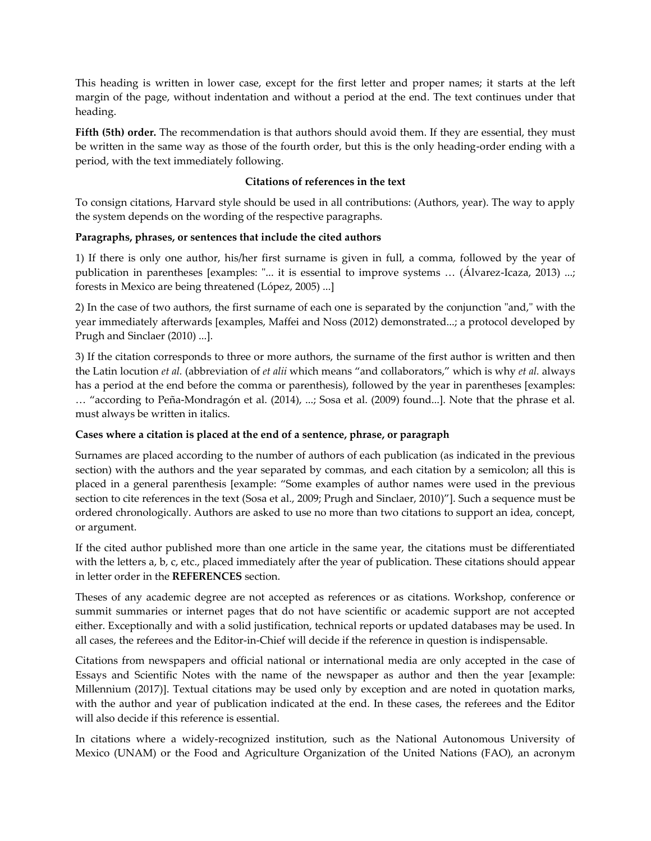This heading is written in lower case, except for the first letter and proper names; it starts at the left margin of the page, without indentation and without a period at the end. The text continues under that heading.

**Fifth (5th) order.** The recommendation is that authors should avoid them. If they are essential, they must be written in the same way as those of the fourth order, but this is the only heading-order ending with a period, with the text immediately following.

# **Citations of references in the text**

To consign citations, Harvard style should be used in all contributions: (Authors, year). The way to apply the system depends on the wording of the respective paragraphs.

# **Paragraphs, phrases, or sentences that include the cited authors**

1) If there is only one author, his/her first surname is given in full, a comma, followed by the year of publication in parentheses [examples: "... it is essential to improve systems ... (Álvarez-Icaza, 2013) ...; forests in Mexico are being threatened (López, 2005) ...]

2) In the case of two authors, the first surname of each one is separated by the conjunction "and," with the year immediately afterwards [examples, Maffei and Noss (2012) demonstrated...; a protocol developed by Prugh and Sinclaer (2010) ...].

3) If the citation corresponds to three or more authors, the surname of the first author is written and then the Latin locution *et al.* (abbreviation of *et alii* which means "and collaborators," which is why *et al.* always has a period at the end before the comma or parenthesis), followed by the year in parentheses [examples: … "according to Peña-Mondragón et al. (2014), ...; Sosa et al. (2009) found...]. Note that the phrase et al. must always be written in italics.

# **Cases where a citation is placed at the end of a sentence, phrase, or paragraph**

Surnames are placed according to the number of authors of each publication (as indicated in the previous section) with the authors and the year separated by commas, and each citation by a semicolon; all this is placed in a general parenthesis [example: "Some examples of author names were used in the previous section to cite references in the text (Sosa et al., 2009; Prugh and Sinclaer, 2010)"]. Such a sequence must be ordered chronologically. Authors are asked to use no more than two citations to support an idea, concept, or argument.

If the cited author published more than one article in the same year, the citations must be differentiated with the letters a, b, c, etc., placed immediately after the year of publication. These citations should appear in letter order in the **REFERENCES** section.

Theses of any academic degree are not accepted as references or as citations. Workshop, conference or summit summaries or internet pages that do not have scientific or academic support are not accepted either. Exceptionally and with a solid justification, technical reports or updated databases may be used. In all cases, the referees and the Editor-in-Chief will decide if the reference in question is indispensable.

Citations from newspapers and official national or international media are only accepted in the case of Essays and Scientific Notes with the name of the newspaper as author and then the year [example: Millennium (2017)]. Textual citations may be used only by exception and are noted in quotation marks, with the author and year of publication indicated at the end. In these cases, the referees and the Editor will also decide if this reference is essential.

In citations where a widely-recognized institution, such as the National Autonomous University of Mexico (UNAM) or the Food and Agriculture Organization of the United Nations (FAO), an acronym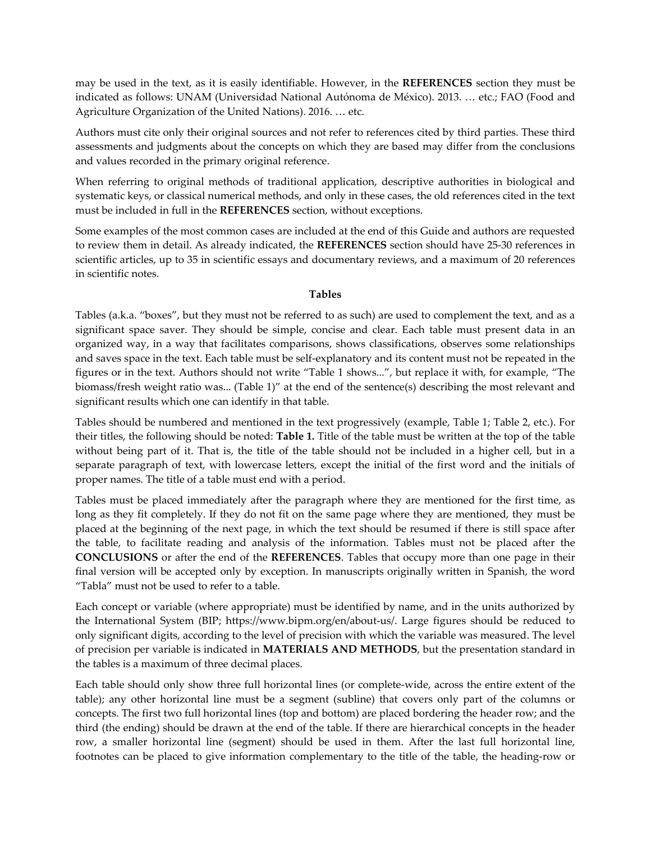may be used in the text, as it is easily identifiable. However, in the **REFERENCES** section they must be indicated as follows: UNAM (Universidad National Autónoma de México). 2013. … etc.; FAO (Food and Agriculture Organization of the United Nations). 2016. … etc.

Authors must cite only their original sources and not refer to references cited by third parties. These third assessments and judgments about the concepts on which they are based may differ from the conclusions and values recorded in the primary original reference.

When referring to original methods of traditional application, descriptive authorities in biological and systematic keys, or classical numerical methods, and only in these cases, the old references cited in the text must be included in full in the **REFERENCES** section, without exceptions.

Some examples of the most common cases are included at the end of this Guide and authors are requested to review them in detail. As already indicated, the **REFERENCES** section should have 25-30 references in scientific articles, up to 35 in scientific essays and documentary reviews, and a maximum of 20 references in scientific notes.

### **Tables**

Tables (a.k.a. "boxes", but they must not be referred to as such) are used to complement the text, and as a significant space saver. They should be simple, concise and clear. Each table must present data in an organized way, in a way that facilitates comparisons, shows classifications, observes some relationships and saves space in the text. Each table must be self-explanatory and its content must not be repeated in the figures or in the text. Authors should not write "Table 1 shows...", but replace it with, for example, "The biomass/fresh weight ratio was... (Table 1)" at the end of the sentence(s) describing the most relevant and significant results which one can identify in that table.

Tables should be numbered and mentioned in the text progressively (example, Table 1; Table 2, etc.). For their titles, the following should be noted: **Table 1.** Title of the table must be written at the top of the table without being part of it. That is, the title of the table should not be included in a higher cell, but in a separate paragraph of text, with lowercase letters, except the initial of the first word and the initials of proper names. The title of a table must end with a period.

Tables must be placed immediately after the paragraph where they are mentioned for the first time, as long as they fit completely. If they do not fit on the same page where they are mentioned, they must be placed at the beginning of the next page, in which the text should be resumed if there is still space after the table, to facilitate reading and analysis of the information. Tables must not be placed after the **CONCLUSIONS** or after the end of the **REFERENCES**. Tables that occupy more than one page in their final version will be accepted only by exception. In manuscripts originally written in Spanish, the word "Tabla" must not be used to refer to a table.

Each concept or variable (where appropriate) must be identified by name, and in the units authorized by the International System (BIP; https://www.bipm.org/en/about-us/. Large figures should be reduced to only significant digits, according to the level of precision with which the variable was measured. The level of precision per variable is indicated in **MATERIALS AND METHODS**, but the presentation standard in the tables is a maximum of three decimal places.

Each table should only show three full horizontal lines (or complete-wide, across the entire extent of the table); any other horizontal line must be a segment (subline) that covers only part of the columns or concepts. The first two full horizontal lines (top and bottom) are placed bordering the header row; and the third (the ending) should be drawn at the end of the table. If there are hierarchical concepts in the header row, a smaller horizontal line (segment) should be used in them. After the last full horizontal line, footnotes can be placed to give information complementary to the title of the table, the heading-row or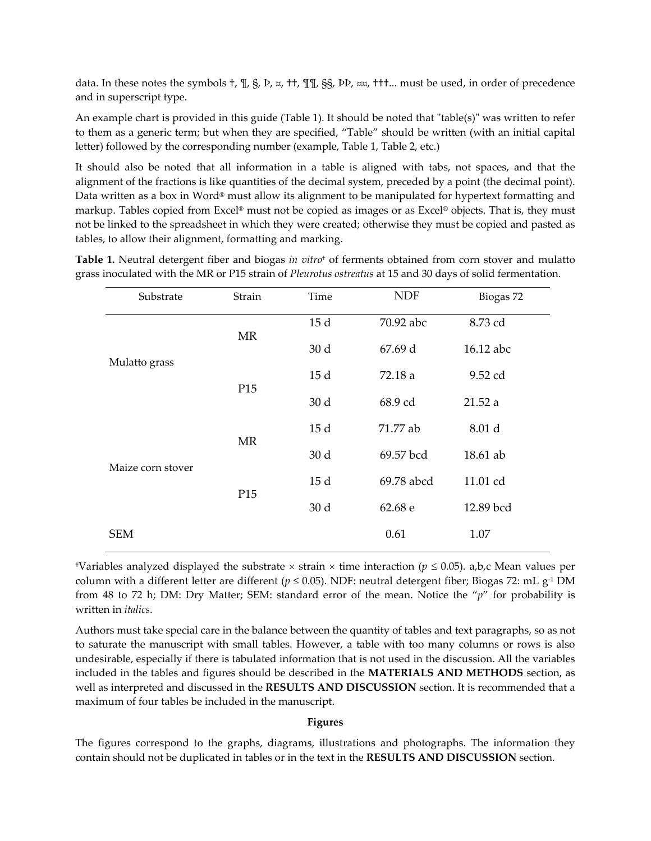data. In these notes the symbols †, ¶, §, Þ, ¤, ††, ¶¶, §§, ÞÞ, ¤¤, †††... must be used, in order of precedence and in superscript type.

An example chart is provided in this guide (Table 1). It should be noted that "table(s)" was written to refer to them as a generic term; but when they are specified, "Table" should be written (with an initial capital letter) followed by the corresponding number (example, Table 1, Table 2, etc.)

It should also be noted that all information in a table is aligned with tabs, not spaces, and that the alignment of the fractions is like quantities of the decimal system, preceded by a point (the decimal point). Data written as a box in Word® must allow its alignment to be manipulated for hypertext formatting and markup. Tables copied from Excel® must not be copied as images or as Excel® objects. That is, they must not be linked to the spreadsheet in which they were created; otherwise they must be copied and pasted as tables, to allow their alignment, formatting and marking.

|  | Table 1. Neutral detergent fiber and biogas in vitro <sup>†</sup> of ferments obtained from corn stover and mulatto |  |  |
|--|---------------------------------------------------------------------------------------------------------------------|--|--|
|  | grass inoculated with the MR or P15 strain of Pleurotus ostreatus at 15 and 30 days of solid fermentation.          |  |  |

| Substrate         | Strain          | Time            | <b>NDF</b> | Biogas 72 |
|-------------------|-----------------|-----------------|------------|-----------|
|                   | MR              | 15d             | 70.92 abc  | 8.73 cd   |
| Mulatto grass     |                 | 30 <sub>d</sub> | 67.69 d    | 16.12 abc |
|                   | P <sub>15</sub> | 15d             | 72.18 a    | 9.52 cd   |
|                   |                 | 30 d            | 68.9 cd    | 21.52a    |
|                   | <b>MR</b>       | 15d             | 71.77 ab   | 8.01 d    |
| Maize corn stover |                 | 30 d            | 69.57 bcd  | 18.61 ab  |
|                   | P <sub>15</sub> | 15d             | 69.78 abcd | 11.01 cd  |
|                   |                 | 30 <sub>d</sub> | 62.68 e    | 12.89 bcd |
| <b>SEM</b>        |                 |                 | 0.61       | 1.07      |

<sup>†</sup>Variables analyzed displayed the substrate  $\times$  strain  $\times$  time interaction ( $p \le 0.05$ ). a,b,c Mean values per column with a different letter are different ( $p \le 0.05$ ). NDF: neutral detergent fiber; Biogas 72: mL g<sup>-1</sup> DM from 48 to 72 h; DM: Dry Matter; SEM: standard error of the mean. Notice the "*p*" for probability is written in *italics*.

Authors must take special care in the balance between the quantity of tables and text paragraphs, so as not to saturate the manuscript with small tables. However, a table with too many columns or rows is also undesirable, especially if there is tabulated information that is not used in the discussion. All the variables included in the tables and figures should be described in the **MATERIALS AND METHODS** section, as well as interpreted and discussed in the **RESULTS AND DISCUSSION** section. It is recommended that a maximum of four tables be included in the manuscript.

### **Figures**

The figures correspond to the graphs, diagrams, illustrations and photographs. The information they contain should not be duplicated in tables or in the text in the **RESULTS AND DISCUSSION** section.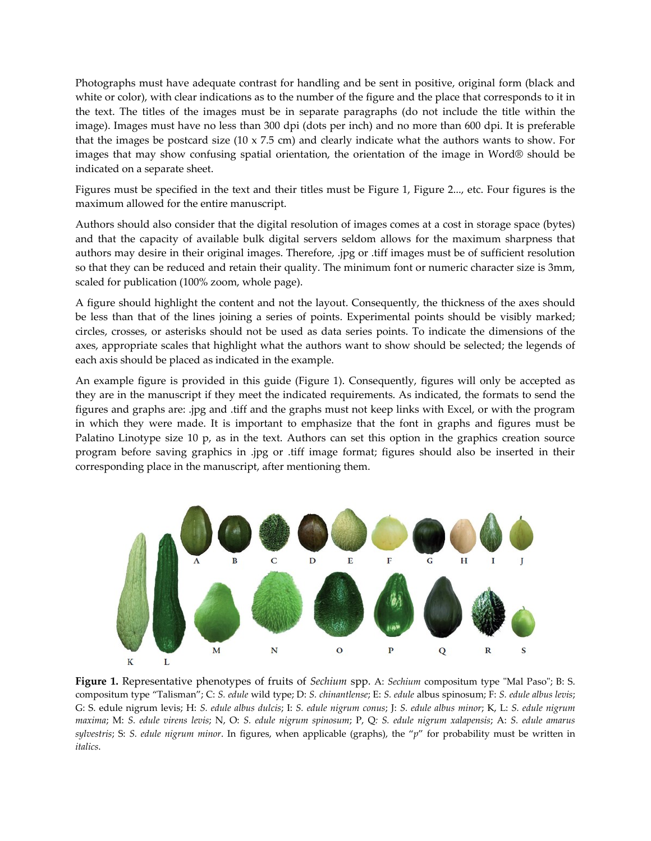Photographs must have adequate contrast for handling and be sent in positive, original form (black and white or color), with clear indications as to the number of the figure and the place that corresponds to it in the text. The titles of the images must be in separate paragraphs (do not include the title within the image). Images must have no less than 300 dpi (dots per inch) and no more than 600 dpi. It is preferable that the images be postcard size (10 x 7.5 cm) and clearly indicate what the authors wants to show. For images that may show confusing spatial orientation, the orientation of the image in Word® should be indicated on a separate sheet.

Figures must be specified in the text and their titles must be Figure 1, Figure 2..., etc. Four figures is the maximum allowed for the entire manuscript.

Authors should also consider that the digital resolution of images comes at a cost in storage space (bytes) and that the capacity of available bulk digital servers seldom allows for the maximum sharpness that authors may desire in their original images. Therefore, .jpg or .tiff images must be of sufficient resolution so that they can be reduced and retain their quality. The minimum font or numeric character size is 3mm, scaled for publication (100% zoom, whole page).

A figure should highlight the content and not the layout. Consequently, the thickness of the axes should be less than that of the lines joining a series of points. Experimental points should be visibly marked; circles, crosses, or asterisks should not be used as data series points. To indicate the dimensions of the axes, appropriate scales that highlight what the authors want to show should be selected; the legends of each axis should be placed as indicated in the example.

An example figure is provided in this guide (Figure 1). Consequently, figures will only be accepted as they are in the manuscript if they meet the indicated requirements. As indicated, the formats to send the figures and graphs are: .jpg and .tiff and the graphs must not keep links with Excel, or with the program in which they were made. It is important to emphasize that the font in graphs and figures must be Palatino Linotype size 10 p, as in the text. Authors can set this option in the graphics creation source program before saving graphics in .jpg or .tiff image format; figures should also be inserted in their corresponding place in the manuscript, after mentioning them.



**Figure 1.** Representative phenotypes of fruits of *Sechium* spp. A: *Sechium* compositum type "Mal Paso"; B: S. compositum type "Talisman"; C: *S. edule* wild type; D: *S. chinantlense*; E: *S. edule* albus spinosum; F: *S. edule albus levis*; G: S. edule nigrum levis; H: *S. edule albus dulcis*; I: *S. edule nigrum conus*; J: *S. edule albus minor*; K, L: *S. edule nigrum maxima*; M: *S. edule virens levis*; N, O: *S. edule nigrum spinosum*; P, Q*: S. edule nigrum xalapensis*; A: *S. edule amarus sylvestris*; S: *S. edule nigrum minor*. In figures, when applicable (graphs), the "*p*" for probability must be written in *italics*.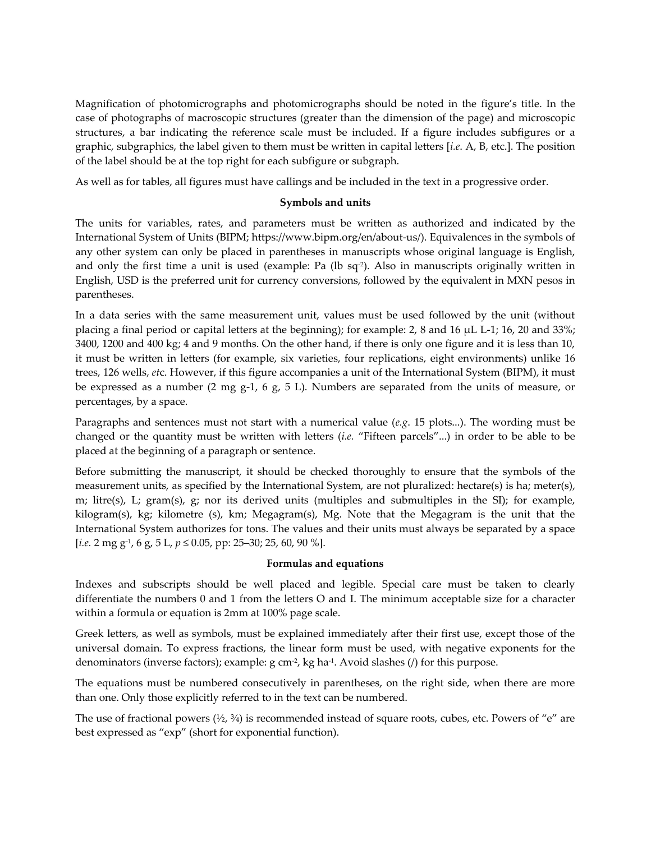Magnification of photomicrographs and photomicrographs should be noted in the figure's title. In the case of photographs of macroscopic structures (greater than the dimension of the page) and microscopic structures, a bar indicating the reference scale must be included. If a figure includes subfigures or a graphic, subgraphics, the label given to them must be written in capital letters [*i.e*. A, B, etc.]. The position of the label should be at the top right for each subfigure or subgraph.

As well as for tables, all figures must have callings and be included in the text in a progressive order.

# **Symbols and units**

The units for variables, rates, and parameters must be written as authorized and indicated by the International System of Units (BIPM; https://www.bipm.org/en/about-us/). Equivalences in the symbols of any other system can only be placed in parentheses in manuscripts whose original language is English, and only the first time a unit is used (example: Pa (lb sq<sup>-2</sup>). Also in manuscripts originally written in English, USD is the preferred unit for currency conversions, followed by the equivalent in MXN pesos in parentheses.

In a data series with the same measurement unit, values must be used followed by the unit (without placing a final period or capital letters at the beginning); for example: 2, 8 and 16 µL L-1; 16, 20 and 33%; 3400, 1200 and 400 kg; 4 and 9 months. On the other hand, if there is only one figure and it is less than 10, it must be written in letters (for example, six varieties, four replications, eight environments) unlike 16 trees, 126 wells, *et*c. However, if this figure accompanies a unit of the International System (BIPM), it must be expressed as a number (2 mg g-1, 6 g, 5 L). Numbers are separated from the units of measure, or percentages, by a space.

Paragraphs and sentences must not start with a numerical value (*e.g*. 15 plots...). The wording must be changed or the quantity must be written with letters (*i.e.* "Fifteen parcels"...) in order to be able to be placed at the beginning of a paragraph or sentence.

Before submitting the manuscript, it should be checked thoroughly to ensure that the symbols of the measurement units, as specified by the International System, are not pluralized: hectare(s) is ha; meter(s), m; litre(s), L; gram(s), g; nor its derived units (multiples and submultiples in the SI); for example, kilogram(s), kg; kilometre (s), km; Megagram(s), Mg. Note that the Megagram is the unit that the International System authorizes for tons. The values and their units must always be separated by a space [*i.e.* 2 mg g-1 , 6 g, 5 L, *p* ≤ 0.05, pp: 25–30; 25, 60, 90 %].

# **Formulas and equations**

Indexes and subscripts should be well placed and legible. Special care must be taken to clearly differentiate the numbers 0 and 1 from the letters O and I. The minimum acceptable size for a character within a formula or equation is 2mm at 100% page scale.

Greek letters, as well as symbols, must be explained immediately after their first use, except those of the universal domain. To express fractions, the linear form must be used, with negative exponents for the denominators (inverse factors); example: g cm-2 , kg ha-1 . Avoid slashes (/) for this purpose.

The equations must be numbered consecutively in parentheses, on the right side, when there are more than one. Only those explicitly referred to in the text can be numbered.

The use of fractional powers  $(\frac{1}{2}, \frac{3}{4})$  is recommended instead of square roots, cubes, etc. Powers of "e" are best expressed as "exp" (short for exponential function).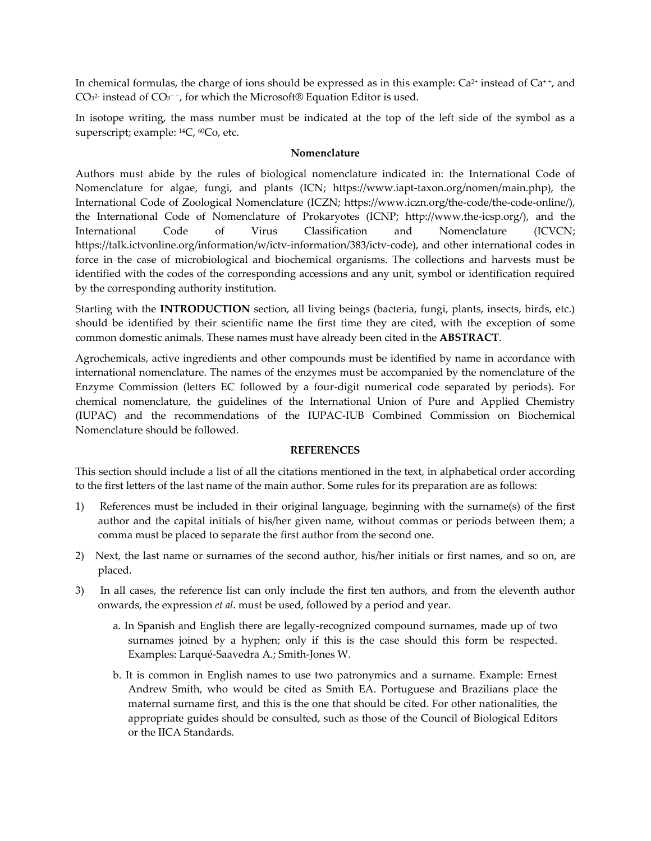In chemical formulas, the charge of ions should be expressed as in this example:  $Ca^{2+}$  instead of  $Ca^{++}$ , and CO<sub>3</sub><sup>2</sup> instead of CO<sub>3</sub><sup>--</sup>, for which the Microsoft® Equation Editor is used.

In isotope writing, the mass number must be indicated at the top of the left side of the symbol as a superscript; example: <sup>14</sup>C, <sup>60</sup>Co, etc.

#### **Nomenclature**

Authors must abide by the rules of biological nomenclature indicated in: the International Code of Nomenclature for algae, fungi, and plants (ICN; [https://www.iapt-taxon.org/nomen/main.php\)](https://www.iapt-taxon.org/nomen/main.php), the International Code of Zoological Nomenclature (ICZN; https://www.iczn.org/the-code/the-code-online/), the International Code of Nomenclature of Prokaryotes (ICNP; http://www.the-icsp.org/), and the International Code of Virus Classification and Nomenclature (ICVCN; https://talk.ictvonline.org/information/w/ictv-information/383/ictv-code), and other international codes in force in the case of microbiological and biochemical organisms. The collections and harvests must be identified with the codes of the corresponding accessions and any unit, symbol or identification required by the corresponding authority institution.

Starting with the **INTRODUCTION** section, all living beings (bacteria, fungi, plants, insects, birds, etc.) should be identified by their scientific name the first time they are cited, with the exception of some common domestic animals. These names must have already been cited in the **ABSTRACT**.

Agrochemicals, active ingredients and other compounds must be identified by name in accordance with international nomenclature. The names of the enzymes must be accompanied by the nomenclature of the Enzyme Commission (letters EC followed by a four-digit numerical code separated by periods). For chemical nomenclature, the guidelines of the International Union of Pure and Applied Chemistry (IUPAC) and the recommendations of the IUPAC-IUB Combined Commission on Biochemical Nomenclature should be followed.

### **REFERENCES**

This section should include a list of all the citations mentioned in the text, in alphabetical order according to the first letters of the last name of the main author. Some rules for its preparation are as follows:

- 1) References must be included in their original language, beginning with the surname(s) of the first author and the capital initials of his/her given name, without commas or periods between them; a comma must be placed to separate the first author from the second one.
- 2) Next, the last name or surnames of the second author, his/her initials or first names, and so on, are placed.
- 3) In all cases, the reference list can only include the first ten authors, and from the eleventh author onwards, the expression *et al*. must be used, followed by a period and year.
	- a. In Spanish and English there are legally-recognized compound surnames, made up of two surnames joined by a hyphen; only if this is the case should this form be respected. Examples: Larqué-Saavedra A.; Smith-Jones W.
	- b. It is common in English names to use two patronymics and a surname. Example: Ernest Andrew Smith, who would be cited as Smith EA. Portuguese and Brazilians place the maternal surname first, and this is the one that should be cited. For other nationalities, the appropriate guides should be consulted, such as those of the Council of Biological Editors or the IICA Standards.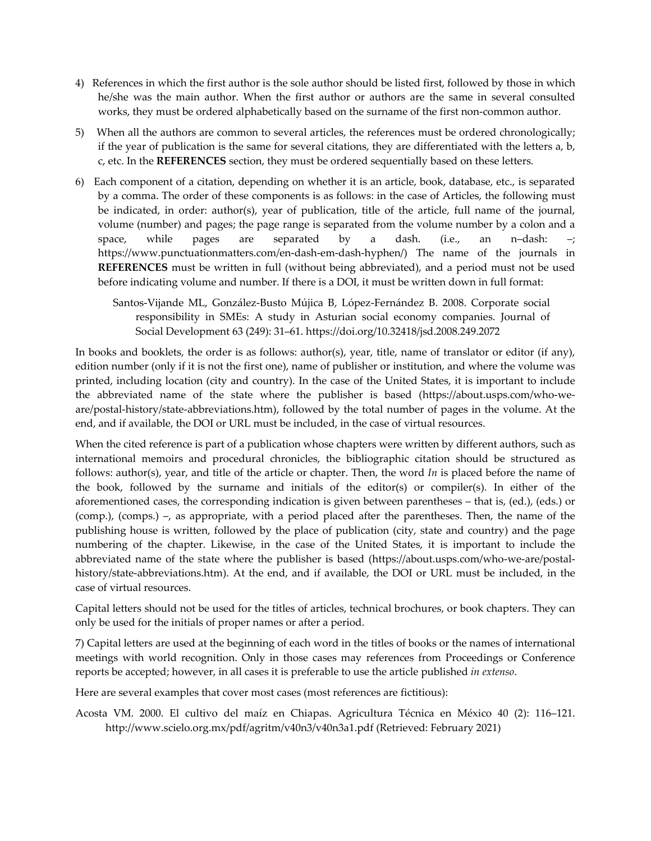- 4) References in which the first author is the sole author should be listed first, followed by those in which he/she was the main author. When the first author or authors are the same in several consulted works, they must be ordered alphabetically based on the surname of the first non-common author.
- 5) When all the authors are common to several articles, the references must be ordered chronologically; if the year of publication is the same for several citations, they are differentiated with the letters a, b, c, etc. In the **REFERENCES** section, they must be ordered sequentially based on these letters.
- 6) Each component of a citation, depending on whether it is an article, book, database, etc., is separated by a comma. The order of these components is as follows: in the case of Articles, the following must be indicated, in order: author(s), year of publication, title of the article, full name of the journal, volume (number) and pages; the page range is separated from the volume number by a colon and a space, while pages are separated by a dash. (i.e., an n–dash: –; https://www.punctuationmatters.com/en-dash-em-dash-hyphen/) The name of the journals in **REFERENCES** must be written in full (without being abbreviated), and a period must not be used before indicating volume and number. If there is a DOI, it must be written down in full format:
	- Santos-Vijande ML, González-Busto Mújica B, López-Fernández B. 2008. Corporate social responsibility in SMEs: A study in Asturian social economy companies. Journal of Social Development 63 (249): 31–61. https://doi.org/10.32418/jsd.2008.249.2072

In books and booklets, the order is as follows: author(s), year, title, name of translator or editor (if any), edition number (only if it is not the first one), name of publisher or institution, and where the volume was printed, including location (city and country). In the case of the United States, it is important to include the abbreviated name of the state where the publisher is based (https://about.usps.com/who-weare/postal-history/state-abbreviations.htm), followed by the total number of pages in the volume. At the end, and if available, the DOI or URL must be included, in the case of virtual resources.

When the cited reference is part of a publication whose chapters were written by different authors, such as international memoirs and procedural chronicles, the bibliographic citation should be structured as follows: author(s), year, and title of the article or chapter. Then, the word *In* is placed before the name of the book, followed by the surname and initials of the editor(s) or compiler(s). In either of the aforementioned cases, the corresponding indication is given between parentheses – that is, (ed.), (eds.) or (comp.), (comps.) –, as appropriate, with a period placed after the parentheses. Then, the name of the publishing house is written, followed by the place of publication (city, state and country) and the page numbering of the chapter. Likewise, in the case of the United States, it is important to include the abbreviated name of the state where the publisher is based (https://about.usps.com/who-we-are/postalhistory/state-abbreviations.htm). At the end, and if available, the DOI or URL must be included, in the case of virtual resources.

Capital letters should not be used for the titles of articles, technical brochures, or book chapters. They can only be used for the initials of proper names or after a period.

7) Capital letters are used at the beginning of each word in the titles of books or the names of international meetings with world recognition. Only in those cases may references from Proceedings or Conference reports be accepted; however, in all cases it is preferable to use the article published *in extenso*.

Here are several examples that cover most cases (most references are fictitious):

Acosta VM. 2000. El cultivo del maíz en Chiapas. Agricultura Técnica en México 40 (2): 116–121. http://www.scielo.org.mx/pdf/agritm/v40n3/v40n3a1.pdf (Retrieved: February 2021)